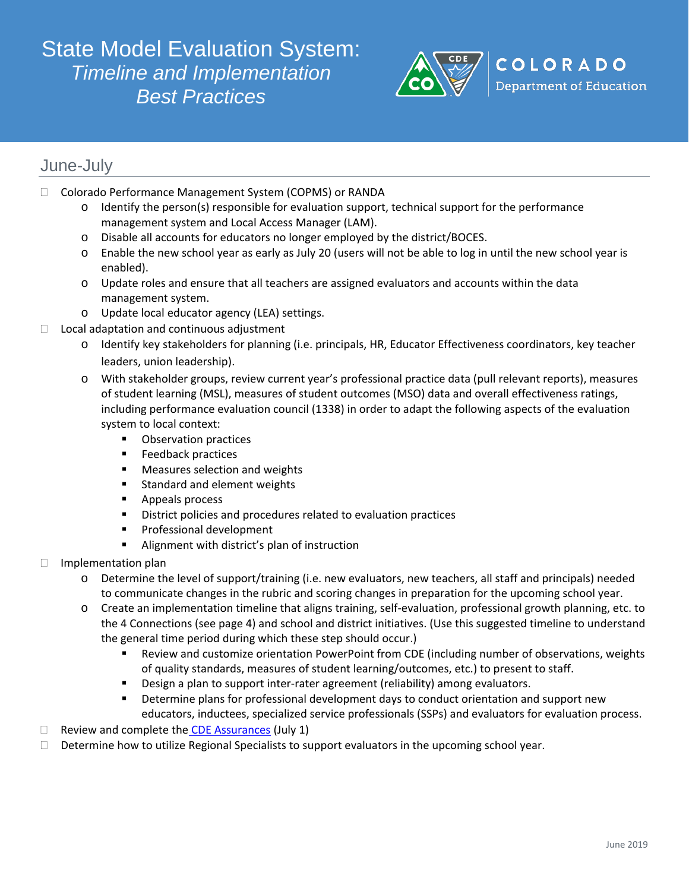# State Model Evaluation System: *Timeline and Implementation Best Practices*



## June-July

- □ Colorado Performance Management System (COPMS) or RANDA
	- $\circ$  Identify the person(s) responsible for evaluation support, technical support for the performance management system and Local Access Manager (LAM).
	- o Disable all accounts for educators no longer employed by the district/BOCES.
	- o Enable the new school year as early as July 20 (users will not be able to log in until the new school year is enabled).
	- o Update roles and ensure that all teachers are assigned evaluators and accounts within the data management system.
	- o Update local educator agency (LEA) settings.
- $\Box$  Local adaptation and continuous adjustment
	- o Identify key stakeholders for planning (i.e. principals, HR, Educator Effectiveness coordinators, key teacher leaders, union leadership).
	- o With stakeholder groups, review current year's professional practice data (pull relevant reports), measures of student learning (MSL), measures of student outcomes (MSO) data and overall effectiveness ratings, including performance evaluation council (1338) in order to adapt the following aspects of the evaluation system to local context:
		- **•** Observation practices
		- **Feedback practices**
		- **Measures selection and weights**
		- **Standard and element weights**
		- **Appeals process**
		- **District policies and procedures related to evaluation practices**
		- **Professional development**
		- **Alignment with district's plan of instruction**
- $\Box$  Implementation plan
	- o Determine the level of support/training (i.e. new evaluators, new teachers, all staff and principals) needed to communicate changes in the rubric and scoring changes in preparation for the upcoming school year.
	- o Create an implementation timeline that aligns training, self-evaluation, professional growth planning, etc. to the 4 Connections (see page 4) and school and district initiatives. (Use this suggested timeline to understand the general time period during which these step should occur.)
		- Review and customize orientation PowerPoint from CDE (including number of observations, weights of quality standards, measures of student learning/outcomes, etc.) to present to staff.
		- **•** Design a plan to support inter-rater agreement (reliability) among evaluators.
		- **•** Determine plans for professional development days to conduct orientation and support new educators, inductees, specialized service professionals (SSPs) and evaluators for evaluation process.
- $\Box$  Review and complete the [CDE Assurances](http://www.cde.state.co.us/EducatorEffectiveness/SB-Assurances) (July 1)
- $\Box$  Determine how to utilize Regional Specialists to support evaluators in the upcoming school year.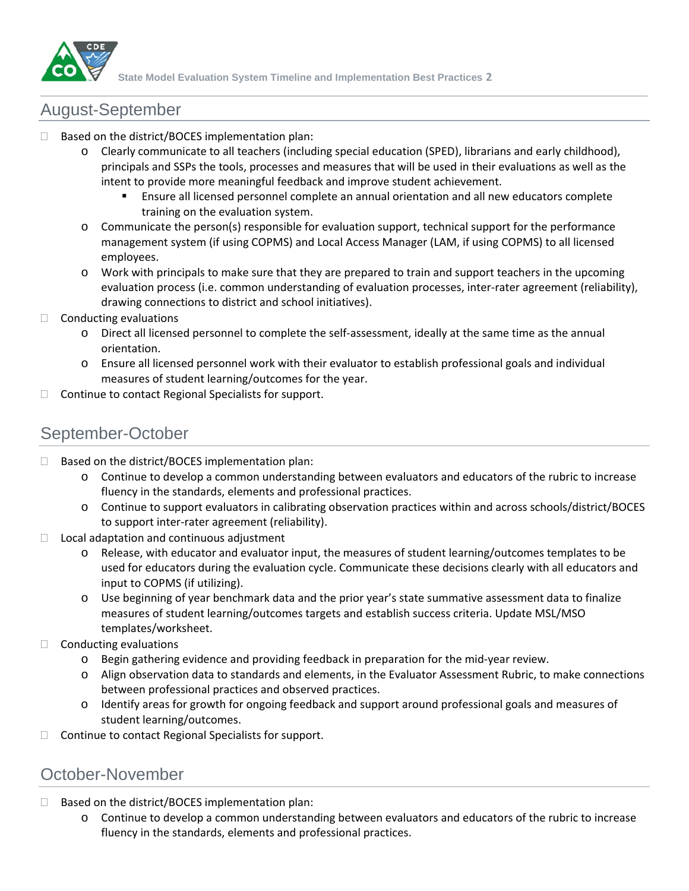

### August-September

- Based on the district/BOCES implementation plan:
	- o Clearly communicate to all teachers (including special education (SPED), librarians and early childhood), principals and SSPs the tools, processes and measures that will be used in their evaluations as well as the intent to provide more meaningful feedback and improve student achievement.
		- Ensure all licensed personnel complete an annual orientation and all new educators complete training on the evaluation system.
	- o Communicate the person(s) responsible for evaluation support, technical support for the performance management system (if using COPMS) and Local Access Manager (LAM, if using COPMS) to all licensed employees.
	- o Work with principals to make sure that they are prepared to train and support teachers in the upcoming evaluation process (i.e. common understanding of evaluation processes, inter-rater agreement (reliability), drawing connections to district and school initiatives).
- $\Box$  Conducting evaluations
	- o Direct all licensed personnel to complete the self-assessment, ideally at the same time as the annual orientation.
	- o Ensure all licensed personnel work with their evaluator to establish professional goals and individual measures of student learning/outcomes for the year.
- $\Box$  Continue to contact Regional Specialists for support.

### September-October

- $\Box$  Based on the district/BOCES implementation plan:
	- o Continue to develop a common understanding between evaluators and educators of the rubric to increase fluency in the standards, elements and professional practices.
	- o Continue to support evaluators in calibrating observation practices within and across schools/district/BOCES to support inter-rater agreement (reliability).
- $\Box$  Local adaptation and continuous adjustment
	- o Release, with educator and evaluator input, the measures of student learning/outcomes templates to be used for educators during the evaluation cycle. Communicate these decisions clearly with all educators and input to COPMS (if utilizing).
	- o Use beginning of year benchmark data and the prior year's state summative assessment data to finalize measures of student learning/outcomes targets and establish success criteria. Update MSL/MSO templates/worksheet.
- $\Box$  Conducting evaluations
	- o Begin gathering evidence and providing feedback in preparation for the mid-year review.
	- o Align observation data to standards and elements, in the Evaluator Assessment Rubric, to make connections between professional practices and observed practices.
	- o Identify areas for growth for ongoing feedback and support around professional goals and measures of student learning/outcomes.
- $\Box$  Continue to contact Regional Specialists for support.

### October-November

- $\Box$  Based on the district/BOCES implementation plan:
	- o Continue to develop a common understanding between evaluators and educators of the rubric to increase fluency in the standards, elements and professional practices.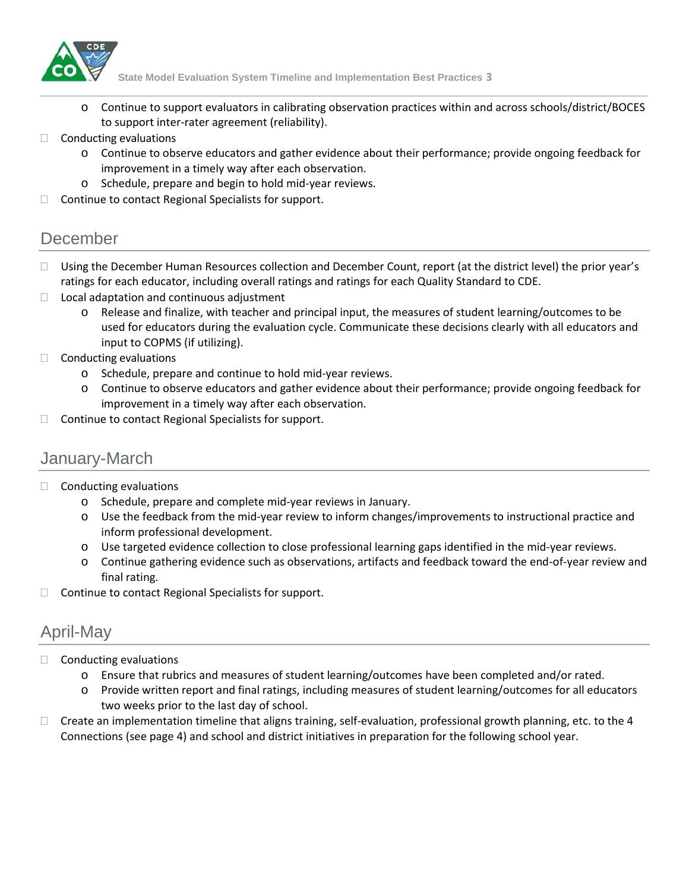

**State Model Evaluation System Timeline and Implementation Best Practices 3**

- o Continue to support evaluators in calibrating observation practices within and across schools/district/BOCES to support inter-rater agreement (reliability).
- $\Box$  Conducting evaluations
	- o Continue to observe educators and gather evidence about their performance; provide ongoing feedback for improvement in a timely way after each observation.
	- o Schedule, prepare and begin to hold mid-year reviews.
- $\Box$  Continue to contact Regional Specialists for support.

### December

- □ Using the December Human Resources collection and December Count, report (at the district level) the prior year's ratings for each educator, including overall ratings and ratings for each Quality Standard to CDE.
- $\Box$  Local adaptation and continuous adjustment
	- o Release and finalize, with teacher and principal input, the measures of student learning/outcomes to be used for educators during the evaluation cycle. Communicate these decisions clearly with all educators and input to COPMS (if utilizing).
- $\Box$  Conducting evaluations
	- o Schedule, prepare and continue to hold mid-year reviews.
	- o Continue to observe educators and gather evidence about their performance; provide ongoing feedback for improvement in a timely way after each observation.
- $\Box$  Continue to contact Regional Specialists for support.

# January-March

- $\Box$  Conducting evaluations
	- o Schedule, prepare and complete mid-year reviews in January.
	- o Use the feedback from the mid-year review to inform changes/improvements to instructional practice and inform professional development.
	- o Use targeted evidence collection to close professional learning gaps identified in the mid-year reviews.
	- o Continue gathering evidence such as observations, artifacts and feedback toward the end-of-year review and final rating.
- $\Box$  Continue to contact Regional Specialists for support.

# April-May

- $\Box$  Conducting evaluations
	- o Ensure that rubrics and measures of student learning/outcomes have been completed and/or rated.
	- o Provide written report and final ratings, including measures of student learning/outcomes for all educators two weeks prior to the last day of school.
- $\Box$  Create an implementation timeline that aligns training, self-evaluation, professional growth planning, etc. to the 4 Connections (see page 4) and school and district initiatives in preparation for the following school year.